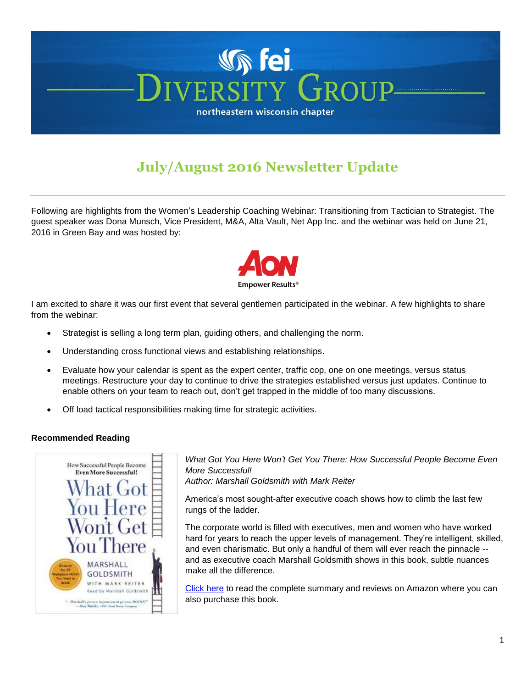# **N** fei RSITY *CEROUE* northeastern wisconsin chapter

# **July/August 2016 Newsletter Update**

Following are highlights from the Women's Leadership Coaching Webinar: Transitioning from Tactician to Strategist. The guest speaker was Dona Munsch, Vice President, M&A, Alta Vault, Net App Inc. and the webinar was held on June 21, 2016 in Green Bay and was hosted by:



I am excited to share it was our first event that several gentlemen participated in the webinar. A few highlights to share from the webinar:

- Strategist is selling a long term plan, guiding others, and challenging the norm.
- Understanding cross functional views and establishing relationships.
- Evaluate how your calendar is spent as the expert center, traffic cop, one on one meetings, versus status meetings. Restructure your day to continue to drive the strategies established versus just updates. Continue to enable others on your team to reach out, don't get trapped in the middle of too many discussions.
- Off load tactical responsibilities making time for strategic activities.

## **Recommended Reading**



*What Got You Here Won't Get You There: How Successful People Become Even More Successful! Author: Marshall Goldsmith with Mark Reiter*

America's most sought-after executive coach shows how to climb the last few rungs of the ladder.

The corporate world is filled with executives, men and women who have worked hard for years to reach the upper levels of management. They're intelligent, skilled, and even charismatic. But only a handful of them will ever reach the pinnacle - and as executive coach Marshall Goldsmith shows in this book, subtle nuances make all the difference.

[Click](https://www.amazon.com/What-Got-Here-Wont-There/dp/1401301304) here to read the complete summary and reviews on Amazon where you can also purchase this book.